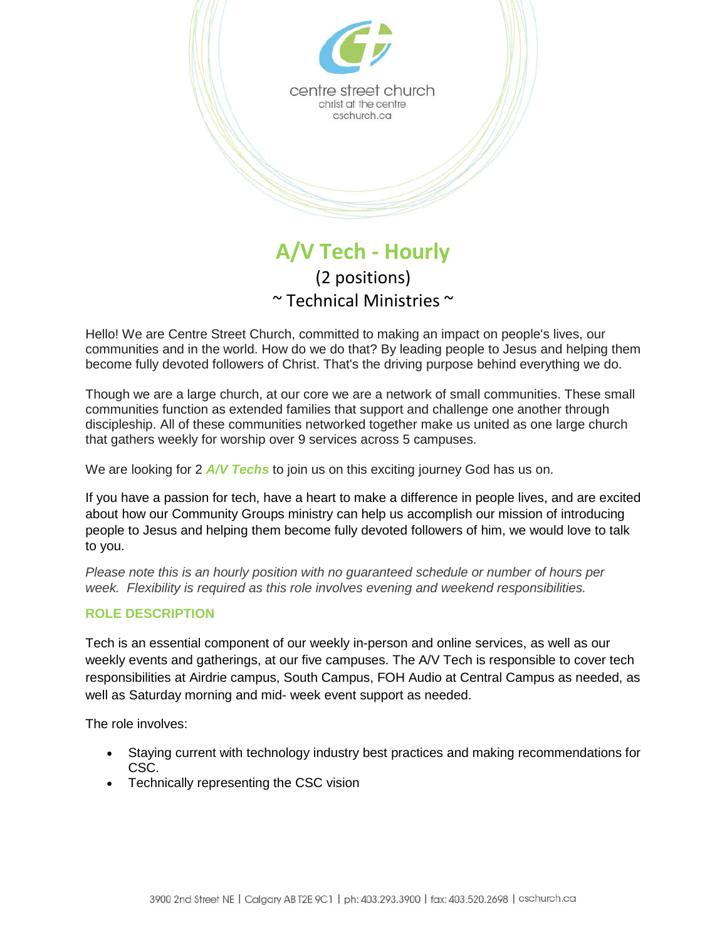

(2 positions)  $\sim$  Technical Ministries  $\sim$ 

Hello! We are Centre Street Church, committed to making an impact on people's lives, our communities and in the world. How do we do that? By leading people to Jesus and helping them become fully devoted followers of Christ. That's the driving purpose behind everything we do.

Though we are a large church, at our core we are a network of small communities. These small communities function as extended families that support and challenge one another through discipleship. All of these communities networked together make us united as one large church that gathers weekly for worship over 9 services across 5 campuses.

We are looking for 2 *A/V Techs* to join us on this exciting journey God has us on.

If you have a passion for tech, have a heart to make a difference in people lives, and are excited about how our Community Groups ministry can help us accomplish our mission of introducing people to Jesus and helping them become fully devoted followers of him, we would love to talk to you.

*Please note this is an hourly position with no guaranteed schedule or number of hours per week. Flexibility is required as this role involves evening and weekend responsibilities.*

## **ROLE DESCRIPTION**

Tech is an essential component of our weekly in-person and online services, as well as our weekly events and gatherings, at our five campuses. The A/V Tech is responsible to cover tech responsibilities at Airdrie campus, South Campus, FOH Audio at Central Campus as needed, as well as Saturday morning and mid- week event support as needed.

The role involves:

- Staying current with technology industry best practices and making recommendations for CSC.
- Technically representing the CSC vision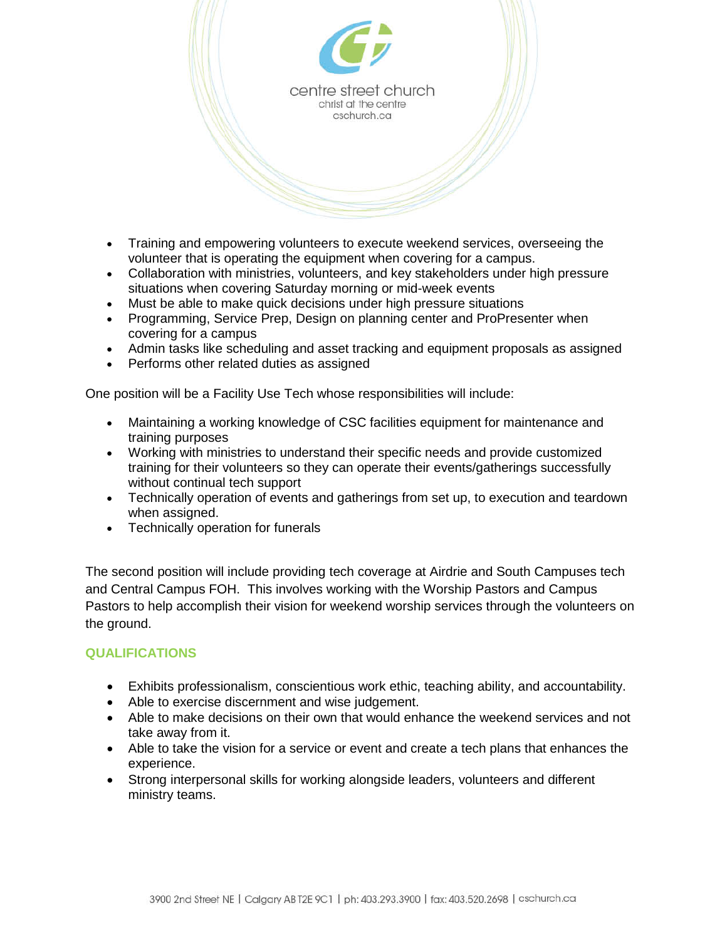

- Training and empowering volunteers to execute weekend services, overseeing the volunteer that is operating the equipment when covering for a campus.
- Collaboration with ministries, volunteers, and key stakeholders under high pressure situations when covering Saturday morning or mid-week events
- Must be able to make quick decisions under high pressure situations
- Programming, Service Prep, Design on planning center and ProPresenter when covering for a campus
- Admin tasks like scheduling and asset tracking and equipment proposals as assigned
- Performs other related duties as assigned

One position will be a Facility Use Tech whose responsibilities will include:

- Maintaining a working knowledge of CSC facilities equipment for maintenance and training purposes
- Working with ministries to understand their specific needs and provide customized training for their volunteers so they can operate their events/gatherings successfully without continual tech support
- Technically operation of events and gatherings from set up, to execution and teardown when assigned.
- Technically operation for funerals

The second position will include providing tech coverage at Airdrie and South Campuses tech and Central Campus FOH. This involves working with the Worship Pastors and Campus Pastors to help accomplish their vision for weekend worship services through the volunteers on the ground.

## **QUALIFICATIONS**

- Exhibits professionalism, conscientious work ethic, teaching ability, and accountability.
- Able to exercise discernment and wise judgement.
- Able to make decisions on their own that would enhance the weekend services and not take away from it.
- Able to take the vision for a service or event and create a tech plans that enhances the experience.
- Strong interpersonal skills for working alongside leaders, volunteers and different ministry teams.